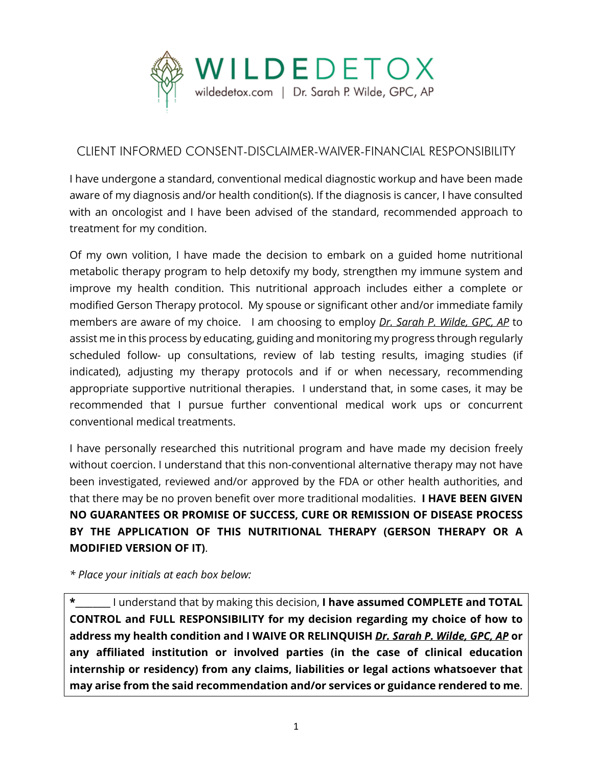

## CLIENT INFORMED CONSENT-DISCLAIMER-WAIVER-FINANCIAL RESPONSIBILITY

I have undergone a standard, conventional medical diagnostic workup and have been made aware of my diagnosis and/or health condition(s). If the diagnosis is cancer, I have consulted with an oncologist and I have been advised of the standard, recommended approach to treatment for my condition.

Of my own volition, I have made the decision to embark on a guided home nutritional metabolic therapy program to help detoxify my body, strengthen my immune system and improve my health condition. This nutritional approach includes either a complete or modified Gerson Therapy protocol. My spouse or significant other and/or immediate family members are aware of my choice. I am choosing to employ *Dr. Sarah P. Wilde, GPC, AP* to assist me in this process by educating, guiding and monitoring my progress through regularly scheduled follow- up consultations, review of lab testing results, imaging studies (if indicated), adjusting my therapy protocols and if or when necessary, recommending appropriate supportive nutritional therapies. I understand that, in some cases, it may be recommended that I pursue further conventional medical work ups or concurrent conventional medical treatments.

I have personally researched this nutritional program and have made my decision freely without coercion. I understand that this non-conventional alternative therapy may not have been investigated, reviewed and/or approved by the FDA or other health authorities, and that there may be no proven benefit over more traditional modalities. **I HAVE BEEN GIVEN NO GUARANTEES OR PROMISE OF SUCCESS, CURE OR REMISSION OF DISEASE PROCESS BY THE APPLICATION OF THIS NUTRITIONAL THERAPY (GERSON THERAPY OR A MODIFIED VERSION OF IT)**.

*\* Place your initials at each box below:*

**\*\_\_\_\_\_\_\_\_** I understand that by making this decision, **I have assumed COMPLETE and TOTAL CONTROL and FULL RESPONSIBILITY for my decision regarding my choice of how to address my health condition and I WAIVE OR RELINQUISH** *Dr. Sarah P. Wilde, GPC, AP* **or any affiliated institution or involved parties (in the case of clinical education internship or residency) from any claims, liabilities or legal actions whatsoever that may arise from the said recommendation and/or services or guidance rendered to me**.